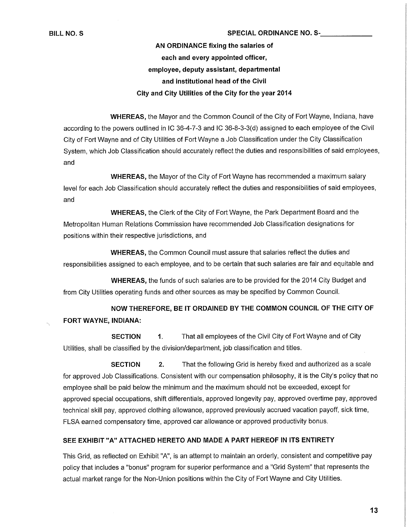### **BILL NO. S** SPECIAL ORDINANCE NO. S-

## **AN ORDINANCE fixing the salaries of each and every appointed officer, employee, deputy assistant, departmental and institutional head of the Civil City and City Utilities of the City for the year 2014**

**WHEREAS,** the Mayor and the Common Council of the City of Fort Wayne, Indiana, have according to the powers outlined in IC 36-4-7-3 and IC 36-8-3-3(d) assigned to each employee of the Civil City of Fort Wayne and of City Utilities of Fort Wayne a Job Classification under the City Classification System, which Job Classification should accurately reflect the duties and responsibilities of said employees, and

**WHEREAS,** the Mayor of the City of Fort Wayne has recommended a maximum salary level for each Job Classification should accurately reflect the duties and responsibilities of said employees, and

**WHEREAS,** the Clerk of the City of Fort Wayne, the Park Department Board and the Metropolitan Human Relations Commission have recommended Job Classification designations for positions within their respective jurisdictions, and

**WHEREAS,** the Common Council must assure that salaries reflect the duties and responsibilities assigned to each employee, and to be certain that such salaries are fair and equitable and

**WHEREAS,** the funds of such salaries are to be provided for the 2014 City Budget and from City Utilities operating funds and other sources as may be specified by Common Council.

**NOW THEREFORE, BE IT ORDAINED BY THE COMMON COUNCIL OF THE CITY OF FORT WAYNE, INDIANA:** 

**SECTION** 1. That all employees of the Civil City of Fort Wayne and of City Utilities, shall be classified by the division/department, job classification and titles.

**SECTION 2.** That the following Grid is hereby fixed and authorized as a scale for approved Job Classifications. Consistent with our compensation philosophy, it is the City's policy that no employee shall be paid below the minimum and the maximum should not be exceeded, except for approved special occupations, shift differentials, approved longevity pay, approved overtime pay, approved technical skill pay, approved clothing allowance, approved previously accrued vacation payoff, sick time, FLSA earned compensatory time, approved car allowance or approved productivity bonus.

## **SEE EXHIBIT "A" ATTACHED HERETO AND MADE A PART HEREOF IN ITS ENTIRETY**

This Grid, as reflected on Exhibit "A", is an attempt to maintain an orderly, consistent and competitive pay policy that includes a "bonus" program for superior performance and a "Grid System" that represents the actual market range for the Non-Union positions within the City of Fort Wayne and City Utilities.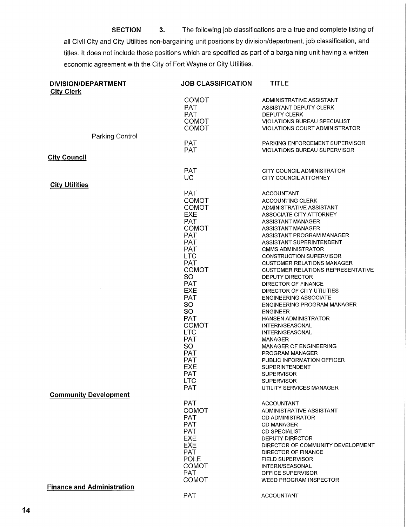**SECTION 3.** The following job classifications are a true and complete listing of all Civil City and City Utilities non-bargaining unit positions by division/department, job classification, and titles. It does not include those positions which are specified as part of a bargaining unit having a written economic agreement with the City of Fort Wayne or City Utilities.

| <b>DIVISION/DEPARTMENT</b><br><b>City Clerk</b> | <b>JOB CLASSIFICATION</b> | <b>TITLE</b>                             |
|-------------------------------------------------|---------------------------|------------------------------------------|
|                                                 | <b>COMOT</b>              | ADMINISTRATIVE ASSISTANT                 |
|                                                 | <b>PAT</b>                | ASSISTANT DEPUTY CLERK                   |
|                                                 | <b>PAT</b>                | <b>DEPUTY CLERK</b>                      |
|                                                 | <b>COMOT</b>              | <b>VIOLATIONS BUREAU SPECIALIST</b>      |
|                                                 | <b>COMOT</b>              | VIOLATIONS COURT ADMINISTRATOR           |
| Parking Control                                 |                           |                                          |
|                                                 | <b>PAT</b>                | <b>PARKING ENFORCEMENT SUPERVISOR</b>    |
|                                                 | <b>PAT</b>                | <b>VIOLATIONS BUREAU SUPERVISOR</b>      |
| <b>City Council</b>                             |                           |                                          |
|                                                 |                           |                                          |
|                                                 | <b>PAT</b>                | CITY COUNCIL ADMINISTRATOR               |
|                                                 | <b>UC</b>                 | <b>CITY COUNCIL ATTORNEY</b>             |
| <b>City Utilities</b>                           |                           |                                          |
|                                                 | <b>PAT</b>                | <b>ACCOUNTANT</b>                        |
|                                                 | <b>COMOT</b>              | ACCOUNTING CLERK                         |
|                                                 | <b>COMOT</b>              | ADMINISTRATIVE ASSISTANT                 |
|                                                 | EXE                       | ASSOCIATE CITY ATTORNEY                  |
|                                                 | <b>PAT</b>                | <b>ASSISTANT MANAGER</b>                 |
|                                                 | <b>COMOT</b>              | <b>ASSISTANT MANAGER</b>                 |
|                                                 | <b>PAT</b>                | ASSISTANT PROGRAM MANAGER                |
|                                                 | <b>PAT</b>                | <b>ASSISTANT SUPERINTENDENT</b>          |
|                                                 | <b>PAT</b>                | <b>CMMS ADMINISTRATOR</b>                |
|                                                 | <b>LTC</b>                | <b>CONSTRUCTION SUPERVISOR</b>           |
|                                                 | <b>PAT</b>                | <b>CUSTOMER RELATIONS MANAGER</b>        |
|                                                 | <b>COMOT</b>              | <b>CUSTOMER RELATIONS REPRESENTATIVE</b> |
|                                                 | SO.                       | DEPUTY DIRECTOR                          |
|                                                 | <b>PAT</b>                | DIRECTOR OF FINANCE                      |
|                                                 | <b>EXE</b>                | DIRECTOR OF CITY UTILITIES               |
|                                                 | <b>PAT</b>                | <b>ENGINEERING ASSOCIATE</b>             |
|                                                 | <b>SO</b>                 | ENGINEERING PROGRAM MANAGER              |
|                                                 | <b>SO</b>                 | <b>ENGINEER</b>                          |
|                                                 | PAT                       | <b>HANSEN ADMINISTRATOR</b>              |
|                                                 | COMOT                     | INTERN/SEASONAL                          |
|                                                 | <b>LTC</b>                | <b>INTERN/SEASONAL</b>                   |
|                                                 | <b>PAT</b>                | <b>MANAGER</b>                           |
|                                                 | SO.                       | <b>MANAGER OF ENGINEERING</b>            |
|                                                 | <b>PAT</b>                | <b>PROGRAM MANAGER</b>                   |
|                                                 | <b>PAT</b>                | PUBLIC INFORMATION OFFICER               |
|                                                 | <b>EXE</b>                | SUPERINTENDENT                           |
|                                                 | <b>PAT</b>                | <b>SUPERVISOR</b>                        |
|                                                 | <b>LTC</b>                | <b>SUPERVISOR</b>                        |
|                                                 | <b>PAT</b>                | UTILITY SERVICES MANAGER                 |
| <b>Community Development</b>                    |                           |                                          |
|                                                 | <b>PAT</b>                |                                          |
|                                                 |                           | <b>ACCOUNTANT</b>                        |
|                                                 | <b>COMOT</b>              | ADMINISTRATIVE ASSISTANT                 |
|                                                 | <b>PAT</b>                | <b>CD ADMINISTRATOR</b>                  |
|                                                 | <b>PAT</b>                | <b>CD MANAGER</b>                        |
|                                                 | <b>PAT</b>                | <b>CD SPECIALIST</b>                     |
|                                                 | <b>EXE</b>                | <b>DEPUTY DIRECTOR</b>                   |
|                                                 | <b>EXE</b>                | DIRECTOR OF COMMUNITY DEVELOPMENT        |
|                                                 | <b>PAT</b>                | <b>DIRECTOR OF FINANCE</b>               |
|                                                 | POLE                      | <b>FIELD SUPERVISOR</b>                  |
|                                                 | <b>COMOT</b>              | INTERN/SEASONAL                          |
|                                                 | <b>PAT</b>                | OFFICE SUPERVISOR                        |
|                                                 | COMOT                     | <b>WEED PROGRAM INSPECTOR</b>            |
| <b>Finance and Administration</b>               |                           |                                          |
|                                                 | <b>PAT</b>                | <b>ACCOUNTANT</b>                        |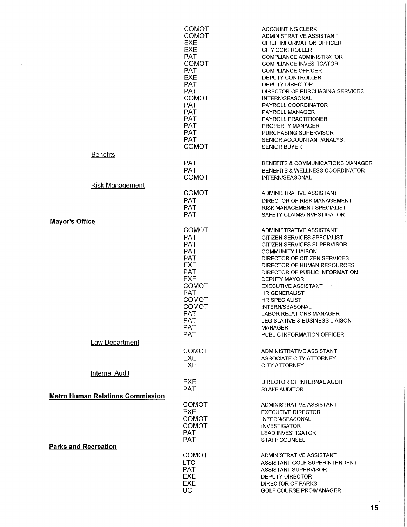|                                         | <b>COMOT</b><br><b>COMOT</b><br>EXE | <b>ACCOUNTING CLERK</b><br>ADMINISTRATIVE ASSISTANT<br>CHIEF INFORMATION OFFICER |
|-----------------------------------------|-------------------------------------|----------------------------------------------------------------------------------|
|                                         | <b>EXE</b>                          | <b>CITY CONTROLLER</b>                                                           |
|                                         | <b>PAT</b>                          | <b>COMPLIANCE ADMINISTRATOR</b>                                                  |
|                                         | <b>COMOT</b>                        | <b>COMPLIANCE INVESTIGATOR</b>                                                   |
|                                         | <b>PAT</b><br><b>EXE</b>            | <b>COMPLIANCE OFFICER</b><br><b>DEPUTY CONTROLLER</b>                            |
|                                         | <b>PAT</b>                          | <b>DEPUTY DIRECTOR</b>                                                           |
|                                         | <b>PAT</b>                          | DIRECTOR OF PURCHASING SERVICES                                                  |
|                                         | <b>COMOT</b>                        | <b>INTERN/SEASONAL</b>                                                           |
|                                         | <b>PAT</b><br><b>PAT</b>            | PAYROLL COORDINATOR<br>PAYROLL MANAGER                                           |
|                                         | <b>PAT</b>                          | PAYROLL PRACTITIONER                                                             |
|                                         | <b>PAT</b>                          | <b>PROPERTY MANAGER</b>                                                          |
|                                         | <b>PAT</b>                          | PURCHASING SUPERVISOR                                                            |
|                                         | <b>PAT</b><br><b>COMOT</b>          | SENIOR ACCOUNTANT/ANALYST<br><b>SENIOR BUYER</b>                                 |
| <b>Benefits</b>                         |                                     |                                                                                  |
|                                         | <b>PAT</b>                          | BENEFITS & COMMUNICATIONS MANAGER                                                |
|                                         | <b>PAT</b>                          | <b>BENEFITS &amp; WELLNESS COORDINATOR</b>                                       |
|                                         | <b>COMOT</b>                        | INTERN/SEASONAL                                                                  |
| <b>Risk Management</b>                  |                                     |                                                                                  |
|                                         | <b>COMOT</b>                        | ADMINISTRATIVE ASSISTANT                                                         |
|                                         | <b>PAT</b><br><b>PAT</b>            | DIRECTOR OF RISK MANAGEMENT<br>RISK MANAGEMENT SPECIALIST                        |
|                                         | <b>PAT</b>                          | SAFETY CLAIMS/INVESTIGATOR                                                       |
| <b>Mayor's Office</b>                   |                                     |                                                                                  |
|                                         | <b>COMOT</b>                        | ADMINISTRATIVE ASSISTANT                                                         |
|                                         | <b>PAT</b>                          | CITIZEN SERVICES SPECIALIST                                                      |
|                                         | <b>PAT</b><br><b>PAT</b>            | CITIZEN SERVICES SUPERVISOR<br><b>COMMUNITY LIAISON</b>                          |
|                                         | <b>PAT</b>                          | DIRECTOR OF CITIZEN SERVICES                                                     |
|                                         | <b>EXE</b>                          | DIRECTOR OF HUMAN RESOURCES                                                      |
|                                         | PAT                                 | DIRECTOR OF PUBLIC INFORMATION                                                   |
|                                         | <b>EXE</b><br><b>COMOT</b>          | <b>DEPUTY MAYOR</b><br><b>EXECUTIVE ASSISTANT</b>                                |
|                                         | <b>PAT</b>                          | <b>HR GENERALIST</b>                                                             |
|                                         | <b>COMOT</b>                        | <b>HR SPECIALIST</b>                                                             |
|                                         | <b>COMOT</b>                        | INTERN/SEASONAL                                                                  |
|                                         | <b>PAT</b><br>PAT                   | <b>LABOR RELATIONS MANAGER</b><br><b>LEGISLATIVE &amp; BUSINESS LIAISON</b>      |
|                                         | <b>PAT</b>                          | <b>MANAGER</b>                                                                   |
|                                         | <b>PAT</b>                          | PUBLIC INFORMATION OFFICER                                                       |
| <b>Law Department</b>                   |                                     |                                                                                  |
|                                         | <b>COMOT</b>                        | ADMINISTRATIVE ASSISTANT                                                         |
|                                         | EXE.<br>$\sim$<br><b>EXE</b>        | ASSOCIATE CITY ATTORNEY<br>CITY ATTORNEY                                         |
| <b>Internal Audit</b>                   |                                     |                                                                                  |
|                                         | EXE                                 | DIRECTOR OF INTERNAL AUDIT                                                       |
|                                         | <b>PAT</b>                          | <b>STAFF AUDITOR</b>                                                             |
| <b>Metro Human Relations Commission</b> |                                     |                                                                                  |
|                                         | <b>COMOT</b>                        | ADMINISTRATIVE ASSISTANT                                                         |
|                                         | <b>EXE</b><br><b>COMOT</b>          | <b>EXECUTIVE DIRECTOR</b><br><b>INTERN/SEASONAL</b>                              |
|                                         | <b>COMOT</b>                        | <b>INVESTIGATOR</b>                                                              |
|                                         | <b>PAT</b>                          | <b>LEAD INVESTIGATOR</b>                                                         |
|                                         | <b>PAT</b>                          | <b>STAFF COUNSEL</b>                                                             |
| <b>Parks and Recreation</b>             |                                     |                                                                                  |
|                                         | <b>COMOT</b><br><b>LTC</b>          | ADMINISTRATIVE ASSISTANT<br>ASSISTANT GOLF SUPERINTENDENT                        |
|                                         | <b>PAT</b>                          | <b>ASSISTANT SUPERVISOR</b>                                                      |
|                                         | <b>EXE</b>                          | DEPUTY DIRECTOR                                                                  |
|                                         | <b>EXE</b>                          | <b>DIRECTOR OF PARKS</b>                                                         |
|                                         | <b>UC</b>                           | GOLF COURSE PRO/MANAGER                                                          |

 $\sim$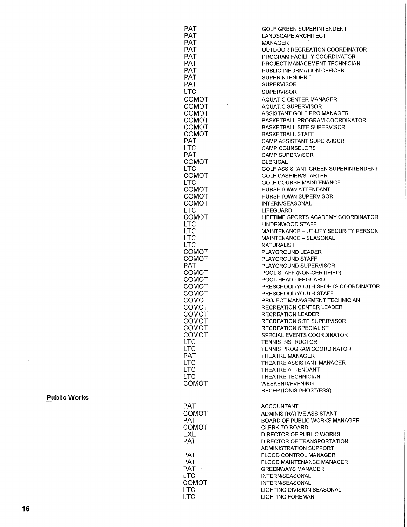| <b>PAT</b>                 | GOLF GREEN SUPERINTENDENT                                     |
|----------------------------|---------------------------------------------------------------|
| <b>PAT</b>                 | LANDSCAPE ARCHITECT                                           |
| <b>PAT</b>                 | MANAGER                                                       |
| <b>PAT</b>                 | OUTDOOR RECREATION COORDINATOR                                |
| <b>PAT</b>                 | PROGRAM FACILITY COORDINATOR                                  |
| <b>PAT</b><br><b>PAT</b>   | PROJECT MANAGEMENT TECHNICIAN<br>PUBLIC INFORMATION OFFICER   |
| PAT                        | <b>SUPERINTENDENT</b>                                         |
| <b>PAT</b>                 | <b>SUPERVISOR</b>                                             |
| <b>LTC</b>                 | <b>SUPERVISOR</b>                                             |
| COMOT                      | <b>AQUATIC CENTER MANAGER</b>                                 |
| COMOT                      | <b>AQUATIC SUPERVISOR</b>                                     |
| COMOT                      | ASSISTANT GOLF PRO MANAGER                                    |
| <b>COMOT</b>               | BASKETBALL PROGRAM COORDINATOR                                |
| COMOT                      | <b>BASKETBALL SITE SUPERVISOR</b>                             |
| <b>COMOT</b>               | <b>BASKETBALL STAFF</b>                                       |
| PAT.                       | <b>CAMP ASSISTANT SUPERVISOR</b>                              |
| <b>LTC</b>                 | <b>CAMP COUNSELORS</b>                                        |
| <b>PAT</b>                 | <b>CAMP SUPERVISOR</b>                                        |
| COMOT<br><b>LTC</b>        | <b>CLERICAL</b><br>GOLF ASSISTANT GREEN SUPERINTENDENT        |
| COMOT                      | <b>GOLF CASHIER/STARTER</b>                                   |
| <b>LTC</b>                 | <b>GOLF COURSE MAINTENANCE</b>                                |
| COMOT                      | <b>HURSHTOWN ATTENDANT</b>                                    |
| COMOT                      | <b>HURSHTOWN SUPERVISOR</b>                                   |
| COMOT                      | <b>INTERN/SEASONAL</b>                                        |
| LTC                        | <b>LIFEGUARD</b>                                              |
| <b>COMOT</b>               | LIFETIME SPORTS ACADEMY COORDINATOR                           |
| <b>LTC</b>                 | <b>LINDENWOOD STAFF</b>                                       |
| <b>LTC</b>                 | MAINTENANCE - UTILITY SECURITY PERSON                         |
| <b>LTC</b><br><b>LTC</b>   | MAINTENANCE - SEASONAL<br><b>NATURALIST</b>                   |
| COMOT                      | PLAYGROUND LEADER                                             |
| COMOT                      | <b>PLAYGROUND STAFF</b>                                       |
| <b>PAT</b>                 | PLAYGROUND SUPERVISOR                                         |
| COMOT                      | POOL STAFF (NON-CERTIFIED)                                    |
| COMOT                      | POOL-HEAD LIFEGUARD                                           |
| <b>COMOT</b>               | PRESCHOOL/YOUTH SPORTS COORDINATOR                            |
| COMOT                      | PRESCHOOL/YOUTH STAFF                                         |
| COMOT                      | PROJECT MANAGEMENT TECHNICIAN                                 |
| COMOT                      | <b>RECREATION CENTER LEADER</b>                               |
| COMOT<br>COMOT             | <b>RECREATION LEADER</b><br><b>RECREATION SITE SUPERVISOR</b> |
| COMOT                      | RECREATION SPECIALIST                                         |
| COMOT                      | SPECIAL EVENTS COORDINATOR                                    |
| <b>LTC</b>                 | <b>TENNIS INSTRUCTOR</b>                                      |
| <b>LTC</b>                 | TENNIS PROGRAM COORDINATOR                                    |
| <b>PAT</b>                 | <b>THEATRE MANAGER</b>                                        |
| <b>LTC</b>                 | THEATRE ASSISTANT MANAGER                                     |
| <b>LTC</b>                 | THEATRE ATTENDANT                                             |
| <b>LTC</b>                 | THEATRE TECHNICIAN                                            |
| COMOT                      | <b>WEEKEND/EVENING</b>                                        |
|                            | RECEPTIONIST/HOST(ESS)                                        |
|                            |                                                               |
| PAT.<br><b>COMOT</b>       | <b>ACCOUNTANT</b><br>ADMINISTRATIVE ASSISTANT                 |
| <b>PAT</b>                 | <b>BOARD OF PUBLIC WORKS MANAGER</b>                          |
| COMOT                      | <b>CLERK TO BOARD</b>                                         |
| EXE                        | DIRECTOR OF PUBLIC WORKS                                      |
| <b>PAT</b>                 | DIRECTOR OF TRANSPORTATION                                    |
|                            | ADMINISTRATION SUPPORT                                        |
| PAT                        | FLOOD CONTROL MANAGER                                         |
| <b>PAT</b>                 | <b>FLOOD MAINTENANCE MANAGER</b>                              |
| PAT ·                      | <b>GREENWAYS MANAGER</b>                                      |
| <b>LTC</b>                 | INTERN/SEASONAL                                               |
| <b>COMOT</b><br><b>LTC</b> | <b>INTERN/SEASONAL</b><br><b>LIGHTING DIVISION SEASONAL</b>   |
| <b>LTC</b>                 | <b>LIGHTING FOREMAN</b>                                       |
|                            |                                                               |

 $\sim 10^6$ 

 $\sim$ 

**Publi c Works** 

 $\sim 10^{-1}$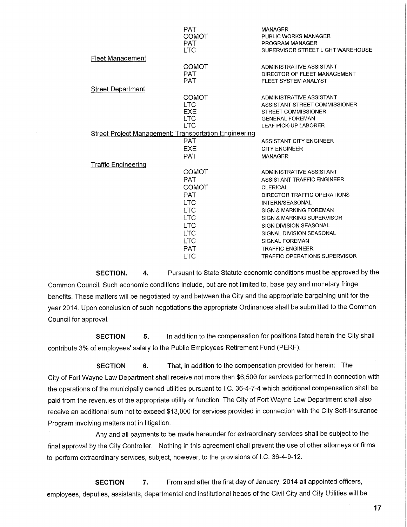|                                                       | PAT<br>COMOT | <b>MANAGER</b><br>PUBLIC WORKS MANAGER |
|-------------------------------------------------------|--------------|----------------------------------------|
|                                                       | <b>PAT</b>   | PROGRAM MANAGER                        |
|                                                       | LTC.         | SUPERVISOR STREET LIGHT WAREHOUSE      |
| <b>Fleet Management</b>                               |              |                                        |
|                                                       | COMOT        | ADMINISTRATIVE ASSISTANT               |
|                                                       | <b>PAT</b>   | DIRECTOR OF FLEET MANAGEMENT           |
|                                                       | <b>PAT</b>   | FLEET SYSTEM ANALYST                   |
| <b>Street Department</b>                              |              |                                        |
|                                                       | COMOT        | ADMINISTRATIVE ASSISTANT               |
|                                                       | LTC.         | ASSISTANT STREET COMMISSIONER          |
|                                                       | <b>EXE</b>   | <b>STREET COMMISSIONER</b>             |
|                                                       | <b>LTC</b>   | <b>GENERAL FOREMAN</b>                 |
|                                                       | <b>LTC</b>   | <b>LEAF PICK-UP LABORER</b>            |
| Street Project Management; Transportation Engineering |              |                                        |
|                                                       | PAT          | ASSISTANT CITY ENGINEER                |
|                                                       | EXE          | <b>CITY ENGINEER</b>                   |
|                                                       | <b>PAT</b>   | <b>MANAGER</b>                         |
| <b>Traffic Engineering</b>                            |              |                                        |
|                                                       | COMOT        | ADMINISTRATIVE ASSISTANT               |
|                                                       | <b>PAT</b>   | ASSISTANT TRAFFIC ENGINEER             |
|                                                       | COMOT        | <b>CLERICAL</b>                        |
|                                                       | <b>PAT</b>   | DIRECTOR TRAFFIC OPERATIONS            |
|                                                       | <b>LTC</b>   | <b>INTERN/SEASONAL</b>                 |
|                                                       | <b>LTC</b>   | SIGN & MARKING FOREMAN                 |
|                                                       | <b>LTC</b>   | SIGN & MARKING SUPERVISOR              |
|                                                       | <b>LTC</b>   | <b>SIGN DIVISION SEASONAL</b>          |
|                                                       | <b>LTC</b>   | SIGNAL DIVISION SEASONAL               |
|                                                       | <b>LTC</b>   | <b>SIGNAL FOREMAN</b>                  |
|                                                       | <b>PAT</b>   | <b>TRAFFIC ENGINEER</b>                |
|                                                       | <b>LTC</b>   | <b>TRAFFIC OPERATIONS SUPERVISOR</b>   |

**SECTION.** 4. Pursuant to State Statute economic conditions must be approved by the Common Council. Such economic conditions include, but are not limited to, base pay and monetary fringe benefits. These matters will be negotiated by and between the City and the appropriate bargaining unit for the year 2014. Upon conclusion of such negotiations the appropriate Ordinances shall be submitted to the Common Council for approval.

**SECTION** 5. In addition to the compensation for positions listed herein the City shall contribute 3% of employees' salary to the Public Employees Retirement Fund (PERF).

**SECTION 6.** That, in addition to the compensation provided for herein: The City of Fort Wayne Law Department shall receive not more than \$6,500 for services performed in connection with the operations of the municipally owned utilities pursuant to I.C. 36-4-7-4 which additional compensation shall be paid from the revenues of the appropriate utility or function. The City of Fort Wayne Law Department shall also receive an additional sum not to exceed \$13,000 for services provided in connection with the City Self-Insurance Program involving matters not in litigation.

Any and all payments to be made hereunder for extraordinary services shall be subject to the final approval by the City Controller. Nothing in this agreement shall prevent the use of other attorneys or firms to perform extraordinary services, subject, however, to the provisions of I.C. 36-4-9-12.

**SECTION** 7. From and after the first day of January, 2014 all appointed officers, employees, deputies, assistants, departmental and institutional heads of the Civil City and City Utilities will be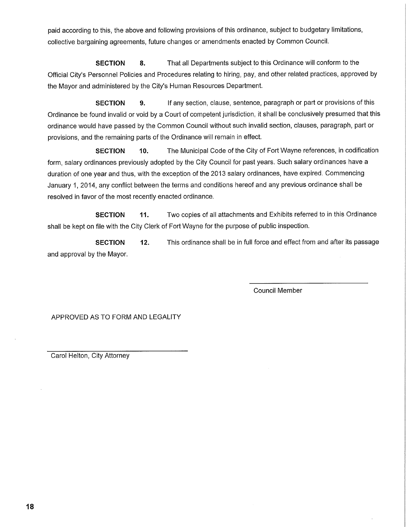paid according to this, the above and following provisions of this ordinance, subject to budgetary limitations, collective bargaining agreements, future changes or amendments enacted by Common Council.

**SECTION 8.** That all Departments subject to this Ordinance will conform to the Official City's Personnel Policies and Procedures relating to hiring, pay, and other related practices, approved by the Mayor and administered by the City's Human Resources Department.

**SECTION** 9. If any section, clause, sentence, paragraph or part or provisions of this Ordinance be found invalid or void by a Court of competent jurisdiction, it shall be conclusively presumed that this ordinance would have passed by the Common Council without such invalid section, clauses, paragraph, part or provisions, and the remaining parts of the Ordinance will remain in effect.

**SECTION** 10. The Municipal Code of the City of Fort Wayne references, in codification form, salary ordinances previously adopted by the City Council for past years. Such salary ordinances have a duration of one year and thus, with the exception of the 2013 salary ordinances, have expired. Commencing January 1, 2014, any conflict between the terms and conditions hereof and any previous ordinance shall be resolved in favor of the most recently enacted ordinance.

**SECTION** 11. Two copies of all attachments and Exhibits referred to in this Ordinance shall be kept on file with the City Clerk of Fort Wayne for the purpose of public inspection.

**SECTION 12.** This ordinance shall be in full force and effect from and after its passage and approval by the Mayor.

Council Member

APPROVED AS TO FORM AND LEGALITY

Carol Helton, City Attorney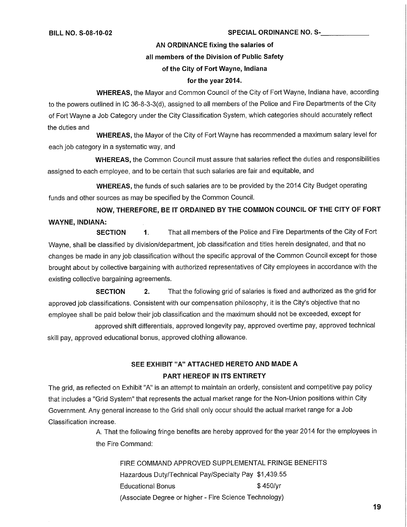### **BILL NO. S-08-10-02 SPECIAL ORDINANCE NO. S-**

**AN ORDINANCE fixing the salaries of** 

#### **all members of the Division of Public Safety**

### **of the City of Fort Wayne, Indiana**

#### **for the year 2014.**

**WHEREAS,** the Mayor and Common Council of the City of Fort Wayne, Indiana have, according to the powers outlined in IC 36-8-3-3(d), assigned to all members of the Police and Fire Departments of the City of Fort Wayne a Job Category under the City Classification System, which categories should accurately reflect the duties and

**WHEREAS,** the Mayor of the City of Fort Wayne has recommended a maximum salary level for each job category in a systematic way, and

**WHEREAS,** the Common Council must assure that salaries reflect the duties and responsibilities assigned to each employee, and to be certain that such salaries are fair and equitable, and

**WHEREAS,** the funds of such salaries are to be provided by the 2014 City Budget operating funds and other sources as may be specified by the Common Council.

**NOW, THEREFORE, BE IT ORDAINED BY THE COMMON COUNCIL OF THE CITY OF FORT WAYNE, INDIANA:** 

**SECTION** 1. That all members of the Police and Fire Departments of the City of Fort Wayne, shall be classified by division/department, job classification and titles herein designated, and that no changes be made in any job classification without the specific approval of the Common Council except for those brought about by collective bargaining with authorized representatives of City employees in accordance with the existing collective bargaining agreements.

**SECTION 2.** That the following grid of salaries is fixed and authorized as the grid for approved job classifications. Consistent with our compensation philosophy, it is the City's objective that no employee shall be paid below their job classification and the maximum should not be exceeded, except for

approved shift differentials, approved longevity pay, approved overtime pay, approved technical skill pay, approved educational bonus, approved clothing allowance.

## **SEE EXHIBIT "A" ATTACHED HERETO AND MADE A PART HEREOF IN ITS ENTIRETY**

The grid, as reflected on Exhibit "A" is an attempt to maintain an orderly, consistent and competitive pay policy that includes a "Grid System" that represents the actual market range for the Non-Union positions within City Government. Any general increase to the Grid shall only occur should the actual market range for a Job Classification increase.

> A. That the following fringe benefits are hereby approved for the year 2014 for the employees in the Fire Command:

FIRE COMMAND APPROVED SUPPLEMENTAL FRINGE BENEFITS Hazardous Duty/Technical Pay/Specialty Pay \$1,439.55 Educational Bonus **\$450/yr** (Associate Degree or higher - Fire Science Technology)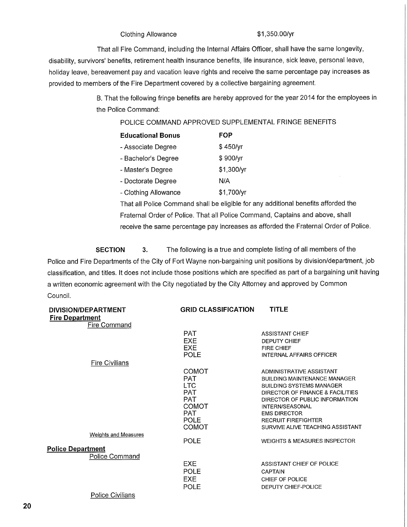## Clothing Allowance  $$1,350.00/yr$

That all Fire Command, including the Internal Affairs Officer, shall have the same longevity, disability, survivors' benefits, retirement health insurance benefits, life insurance, sick leave, personal leave, holiday leave, bereavement pay and vacation leave rights and receive the same percentage pay increases as provided to members of the Fire Department covered by a collective bargaining agreement.

> B. That the following fringe benefits are hereby approved for the year 2014 for the employees in the Police Command:

## POLICE COMMAND APPROVED SUPPLEMENTAL FRINGE BENEFITS

| <b>Educational Bonus</b> | FOP        |
|--------------------------|------------|
| - Associate Degree       | \$450/yr   |
| - Bachelor's Degree      | \$900/yr   |
| - Master's Degree        | \$1,300/yr |
| - Doctorate Degree       | N/A        |
| - Clothing Allowance     | \$1,700/yr |

That all Police Command shall be eligible for any additional benefits afforded the Fraternal Order of Police. That all Police Command, Captains and above, shall receive the same percentage pay increases as afforded the Fraternal Order of Police.

**SECTION 3.**  Police and Fire Departments of the City of Fort Wayne non-bargaining unit positions by division/department, job classification, and titles. It does not include those positions which are specified as part of a bargaining unit having a written economic agreement with the City negotiated by the City Attorney and approved by Common Council. The following is a true and complete listing of all members of the

| <b>DIVISION/DEPARTMENT</b>         | <b>GRID CLASSIFICATION</b>                                                                                                 | <b>TITLE</b>                                                                                                                                                                                                                                                                         |
|------------------------------------|----------------------------------------------------------------------------------------------------------------------------|--------------------------------------------------------------------------------------------------------------------------------------------------------------------------------------------------------------------------------------------------------------------------------------|
| <b>Fire Department</b>             |                                                                                                                            |                                                                                                                                                                                                                                                                                      |
| <b>Fire Command</b>                |                                                                                                                            |                                                                                                                                                                                                                                                                                      |
|                                    | <b>PAT</b><br><b>EXE</b><br><b>EXE</b><br><b>POLE</b>                                                                      | <b>ASSISTANT CHIEF</b><br><b>DEPUTY CHIEF</b><br><b>FIRE CHIEF</b><br>INTERNAL AFFAIRS OFFICER                                                                                                                                                                                       |
| <b>Fire Civilians</b>              |                                                                                                                            |                                                                                                                                                                                                                                                                                      |
|                                    | <b>COMOT</b><br><b>PAT</b><br><b>LTC</b><br><b>PAT</b><br><b>PAT</b><br><b>COMOT</b><br><b>PAT</b><br><b>POLE</b><br>COMOT | ADMINISTRATIVE ASSISTANT<br><b>BUILDING MAINTENANCE MANAGER</b><br><b>BUILDING SYSTEMS MANAGER</b><br>DIRECTOR OF FINANCE & FACILITIES<br>DIRECTOR OF PUBLIC INFORMATION<br>INTERN/SEASONAL<br><b>EMS DIRECTOR</b><br><b>RECRUIT FIREFIGHTER</b><br>SURVIVE ALIVE TEACHING ASSISTANT |
| <b>Weights and Measures</b>        |                                                                                                                            |                                                                                                                                                                                                                                                                                      |
|                                    | <b>POLE</b>                                                                                                                | WEIGHTS & MEASURES INSPECTOR                                                                                                                                                                                                                                                         |
| <b>Police Department</b>           |                                                                                                                            |                                                                                                                                                                                                                                                                                      |
| Police Command<br>Police Civilians | <b>EXE</b><br><b>POLE</b><br>EXE.<br><b>POLE</b>                                                                           | ASSISTANT CHIEF OF POLICE<br><b>CAPTAIN</b><br>CHIEF OF POLICE<br><b>DEPUTY CHIEF-POLICE</b>                                                                                                                                                                                         |
|                                    |                                                                                                                            |                                                                                                                                                                                                                                                                                      |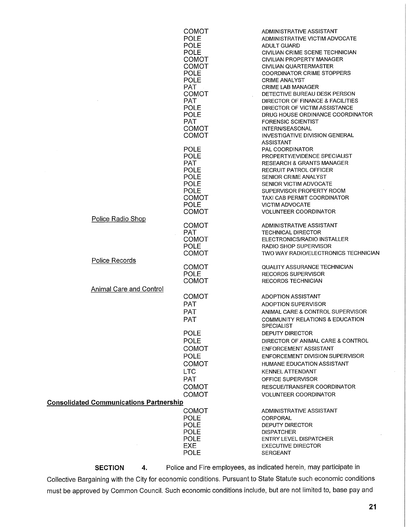|                                                | COMOT        | ADMINISTRATIVE ASSISTANT                                           |
|------------------------------------------------|--------------|--------------------------------------------------------------------|
|                                                | <b>POLE</b>  | ADMINISTRATIVE VICTIM ADVOCATE                                     |
|                                                | <b>POLE</b>  | ADULT GUARD                                                        |
|                                                | <b>POLE</b>  | CIVILIAN CRIME SCENE TECHNICIAN                                    |
|                                                | <b>COMOT</b> | CIVILIAN PROPERTY MANAGER                                          |
|                                                | <b>COMOT</b> | CIVILIAN QUARTERMASTER                                             |
|                                                | <b>POLE</b>  | <b>COORDINATOR CRIME STOPPERS</b>                                  |
|                                                | <b>POLE</b>  |                                                                    |
|                                                | <b>PAT</b>   | <b>CRIME ANALYST</b>                                               |
|                                                |              | <b>CRIME LAB MANAGER</b>                                           |
|                                                | <b>COMOT</b> | DETECTIVE BUREAU DESK PERSON                                       |
|                                                | <b>PAT</b>   | DIRECTOR OF FINANCE & FACILITIES                                   |
|                                                | <b>POLE</b>  | DIRECTOR OF VICTIM ASSISTANCE                                      |
|                                                | <b>POLE</b>  | DRUG HOUSE ORDINANCE COORDINATOR                                   |
|                                                | <b>PAT</b>   | <b>FORENSIC SCIENTIST</b>                                          |
|                                                | <b>COMOT</b> | INTERN/SEASONAL                                                    |
|                                                | <b>COMOT</b> | INVESTIGATIVE DIVISION GENERAL                                     |
|                                                |              | <b>ASSISTANT</b>                                                   |
|                                                | <b>POLE</b>  | <b>PAL COORDINATOR</b>                                             |
|                                                | <b>POLE</b>  | PROPERTY/EVIDENCE SPECIALIST                                       |
|                                                | <b>PAT</b>   | <b>RESEARCH &amp; GRANTS MANAGER</b>                               |
|                                                | <b>POLE</b>  | <b>RECRUIT PATROL OFFICER</b>                                      |
|                                                | POLE         | SENIOR CRIME ANALYST                                               |
|                                                | POLE         | SENIOR VICTIM ADVOCATE                                             |
|                                                | POLE         | SUPERVISOR PROPERTY ROOM                                           |
|                                                | <b>COMOT</b> | TAXI CAB PERMIT COORDINATOR                                        |
|                                                | <b>POLE</b>  | <b>VICTIM ADVOCATE</b>                                             |
|                                                | <b>COMOT</b> | <b>VOLUNTEER COORDINATOR</b>                                       |
| Police Radio Shop                              |              |                                                                    |
|                                                | COMOT        | ADMINISTRATIVE ASSISTANT                                           |
|                                                | <b>PAT</b>   | <b>TECHNICAL DIRECTOR</b>                                          |
|                                                | <b>COMOT</b> | ELECTRONICS/RADIO INSTALLER                                        |
|                                                | <b>POLE</b>  | RADIO SHOP SUPERVISOR                                              |
|                                                | <b>COMOT</b> | TWO WAY RADIO/ELECTRONICS TECHNICIAN                               |
| Police Records                                 |              |                                                                    |
|                                                | COMOT        | <b>QUALITY ASSURANCE TECHNICIAN</b>                                |
|                                                | <b>POLE</b>  | <b>RECORDS SUPERVISOR</b>                                          |
|                                                | COMOT        | <b>RECORDS TECHNICIAN</b>                                          |
| <b>Animal Care and Control</b>                 |              |                                                                    |
|                                                |              |                                                                    |
|                                                | COMOT        | <b>ADOPTION ASSISTANT</b>                                          |
|                                                | <b>PAT</b>   | <b>ADOPTION SUPERVISOR</b>                                         |
|                                                | <b>PAT</b>   | ANIMAL CARE & CONTROL SUPERVISOR                                   |
|                                                | <b>PAT</b>   | <b>COMMUNITY RELATIONS &amp; EDUCATION</b>                         |
|                                                |              | <b>SPECIALIST</b>                                                  |
|                                                | <b>POLE</b>  | DEPUTY DIRECTOR                                                    |
|                                                | <b>POLE</b>  | DIRECTOR OF ANIMAL CARE & CONTROL                                  |
|                                                | <b>COMOT</b> | <b>ENFORCEMENT ASSISTANT</b>                                       |
|                                                | POLE         | ENFORCEMENT DIVISION SUPERVISOR                                    |
|                                                |              |                                                                    |
|                                                | <b>COMOT</b> | HUMANE EDUCATION ASSISTANT                                         |
|                                                | <b>LTC</b>   | <b>KENNEL ATTENDANT</b>                                            |
|                                                | <b>PAT</b>   | OFFICE SUPERVISOR                                                  |
|                                                | <b>COMOT</b> | RESCUE/TRANSFER COORDINATOR                                        |
|                                                | <b>COMOT</b> | <b>VOLUNTEER COORDINATOR</b>                                       |
| <b>Consolidated Communications Partnership</b> |              |                                                                    |
|                                                |              |                                                                    |
|                                                | <b>COMOT</b> | ADMINISTRATIVE ASSISTANT                                           |
|                                                | <b>POLE</b>  | <b>CORPORAL</b>                                                    |
|                                                | <b>POLE</b>  | <b>DEPUTY DIRECTOR</b>                                             |
|                                                | <b>POLE</b>  | <b>DISPATCHER</b>                                                  |
|                                                | <b>POLE</b>  | <b>ENTRY LEVEL DISPATCHER</b>                                      |
|                                                | <b>EXE</b>   | <b>EXECUTIVE DIRECTOR</b>                                          |
|                                                | <b>POLE</b>  | <b>SERGEANT</b>                                                    |
| <b>SECTION</b><br>4.                           |              | Police and Fire employees, as indicated herein, may participate in |

Collective Bargaining with the City for economic conditions. Pursuant to State Statute such economic conditions must be approved by Common Council. Such economic conditions include, but are not limited to, base pay and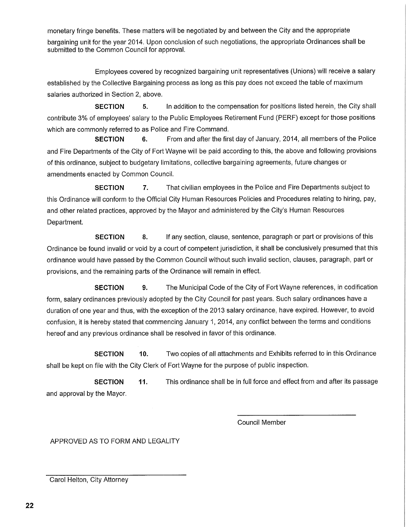monetary fringe benefits. These matters will be negotiated by and between the City and the appropriate bargaining unit for the year 2014. Upon conclusion of such negotiations, the appropriate Ordinances shall be submitted to the Common Council for approval.

Employees covered by recognized bargaining unit representatives (Unions) will receive a salary established by the Collective Bargaining process as long as this pay does not exceed the table of maximum salaries authorized in Section 2, above.

**SECTION** 5. In addition to the compensation for positions listed herein, the City shall contribute 3% of employees' salary to the Public Employees Retirement Fund (PERF) except for those positions which are commonly referred to as Police and Fire Command.

**SECTION** 6. From and after the first day of January, 2014, all members of the Police and Fire Departments of the City of Fort Wayne will be paid according to this, the above and following provisions of this ordinance, subject to budgetary limitations, collective bargaining agreements, future changes or amendments enacted by Common Council.

**SECTION 7.** That civilian employees in the Police and Fire Departments subject to this Ordinance will conform to the Official City Human Resources Policies and Procedures relating to hiring, pay, and other related practices, approved by the Mayor and administered by the City's Human Resources Department.

**SECTION 8.** If any section, clause, sentence, paragraph or part or provisions of this Ordinance be found invalid or void by a court of competent jurisdiction, it shall be conclusively presumed that this ordinance would have passed by the Common Council without such invalid section, clauses, paragraph, part or provisions, and the remaining parts of the Ordinance will remain in effect.

**SECTION 9.** The Municipal Code of the City of Fort Wayne references, in codification form, salary ordinances previously adopted by the City Council for past years. Such salary ordinances have a duration of one year and thus, with the exception of the 2013 salary ordinance, have expired. However, to avoid confusion, it is hereby stated that commencing January 1, 2014, any conflict between the terms and conditions hereof and any previous ordinance shall be resolved in favor of this ordinance.

**SECTION** 10. Two copies of all attachments and Exhibits referred to in this Ordinance shall be kept on file with the City Clerk of Fort Wayne for the purpose of public inspection.

**SECTION 11.** This ordinance shall be in full force and effect from and after its passage and approval by the Mayor.

Council Member

APPROVED AS TO FORM AND LEGALITY

Carol Helton, City Attorney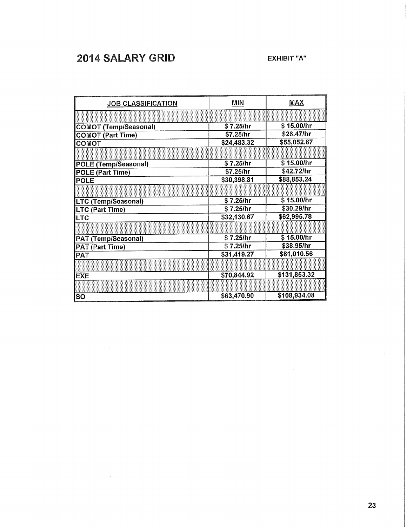# **2014 SALARY GRID** EXHIBIT "A"

 $\bar{\bar{z}}$ 

 $\sim$ 

| <b>JOB CLASSIFICATION</b>    | <b>MIN</b>  | <b>MAX</b>   |
|------------------------------|-------------|--------------|
|                              |             |              |
| <b>COMOT (Temp/Seasonal)</b> | \$7.25/hr   | \$15.00/hr   |
| <b>COMOT (Part Time)</b>     | \$7.25/hr   | \$26.47/hr   |
| COMOT                        | \$24,483.32 | \$55,052.67  |
|                              |             |              |
| <b>POLE (Temp/Seasonal)</b>  | \$7.25/hr   | \$15.00/hr   |
| <b>POLE (Part Time)</b>      | \$7.25/hr   | \$42.72/hr   |
| <b>POLE</b>                  | \$30,398.81 | \$88,853.24  |
|                              |             |              |
| <b>LTC (Temp/Seasonal)</b>   | \$7.25/hr   | \$15.00/hr   |
| LTC (Part Time)              | \$7.25/hr   | \$30.29/hr   |
| <b>LTC</b>                   | \$32,130.67 | \$62,995.78  |
|                              |             |              |
| <b>PAT (Temp/Seasonal)</b>   | \$7.25/hr   | \$15.00/hr   |
| <b>PAT (Part Time)</b>       | \$7.25/hr   | \$38.95/hr   |
| <b>PAT</b>                   | \$31,419.27 | \$81,010.56  |
|                              |             |              |
| <b>EXE</b>                   | \$70,844.92 | \$131,853.32 |
|                              |             |              |
| <b>SO</b>                    | \$63,470.90 | \$108,934.08 |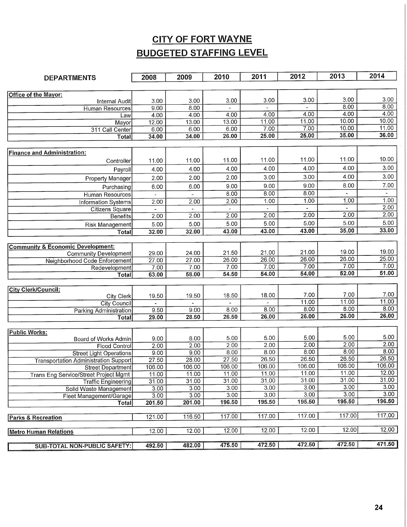# **CITY OF FORT WAYNE BUDGETED STAFFING LEVEL**

| <b>DEPARTMENTS</b>                           | 2008           | 2009           | 2010           | 2011           | 2012          | 2013           | 2014              |
|----------------------------------------------|----------------|----------------|----------------|----------------|---------------|----------------|-------------------|
|                                              |                |                |                |                |               |                |                   |
| Office of the Mayor:                         |                |                |                |                |               |                |                   |
| <b>Internal Audit</b>                        | 3.00           | 3.00           | 3.00           | 3.00           | 3.00          | 3,00           | 3.00              |
| <b>Human Resources</b>                       | 9.00           | 8.00           |                |                |               | 8.00           | 8.00              |
| Law                                          | 4.00           | 4.00           | 4.00           | 4.00           | 4.00          | 4.00<br>10.00  | 4.00<br>10.00     |
| Mayor                                        | 12.00          | 13.00          | 13.00          | 11.00          | 11.00<br>7.00 | 10.00          | 11.00             |
| 311 Call Center                              | 6.00           | 6.00           | 6.00           | 7.00<br>25.00  | 25.00         | 35.00          | 36.00             |
| Total                                        | 34.00          | 34.00          | 26.00          |                |               |                |                   |
|                                              |                |                |                |                |               |                |                   |
| <b>Finance and Administration:</b>           |                | 11.00          | 11.00          | 11.00          | 11.00         | 11.00          | 10.00             |
| Controller                                   | 11.00          |                |                |                |               |                | 3.00              |
| Payroll                                      | 4.00           | 4.00           | 4.00           | 4.00           | 4.00          | 4.00           |                   |
| Property Manager                             | 2.00           | 2.00           | 2.00           | 3.00           | 3.00          | 4.00           | 3.00              |
| Purchasing                                   | 6.00           | 6.00           | 9.00           | 9.00           | 9.00          | 8.00           | 7.00              |
| <b>Human Resources</b>                       |                |                | 8.00           | 8.00           | 8.00          | $\blacksquare$ | $\omega$          |
| <b>Information Systems</b>                   | 2.00           | 2.00           | 2.00           | 1.00           | 1.00          | 1.00           | 1,00              |
| <b>Citizens Square</b>                       | $\blacksquare$ |                |                |                |               | $\sim$         | 2.00              |
| <b>Benefits</b>                              | 2.00           | 2,00           | 2.00           | 2.00           | 2.00          | 2.00           | 2.00              |
| Risk Management                              | 5.00           | 5.00           | 5.00           | 5.00           | 5.00          | 5.00           | 5.00              |
| Total                                        | 32.00          | 32.00          | 43.00          | 43.00          | 43.00         | 35.00          | 33.00             |
|                                              |                |                |                |                |               |                |                   |
| <b>Community &amp; Economic Development:</b> |                |                |                |                |               |                |                   |
| <b>Community Development</b>                 | 29.00          | 24.00          | 21.50          | 21.00          | 21.00         | 19.00<br>26.00 | 19.00<br>25.00    |
| <b>Neighborhood Code Enforcement</b>         | 27.00          | 27.00          | 26.00          | 26.00<br>7.00  | 26.00<br>7.00 | 7.00           | 7.00              |
| Redevelopment                                | 7.00           | 7.00           | 7.00           | 54.00          | 54.00         | 52.00          | 51.00             |
| Total                                        | 63.00          | 58.00          | 54.50          |                |               |                |                   |
| <b>City Clerk/Council:</b>                   |                |                |                |                |               |                |                   |
| City Clerk                                   | 19.50          | 19.50          | 18.50          | 18.00          | 7.00          | 7.00           | 7.00              |
| <b>City Council</b>                          | $\mathbf{r}$   |                |                |                | 11.00         | 11.00          | 11.00             |
| Parking Administration                       | 9,50           | 9.00           | 8.00           | 8,00           | 8.00          | 8.00           | 8.00              |
| <b>Total</b>                                 | 29.00          | 28.50          | 26.50          | 26.00          | 26.00         | 26.00          | 26.00             |
|                                              |                |                |                |                |               |                |                   |
| <b>Public Works:</b>                         |                |                |                |                |               |                |                   |
| Board of Works Admin                         | 9.00           | 8.00           | 5.00           | 5.00           | 5.00          | 5.00           | 5.00              |
| <b>Flood Control</b>                         | 2.00           | 2.00           | 2.00           | 2.00           | 2.00          | 2.00           | 2.00              |
| <b>Street Light Operations</b>               | 9.00           | 9.00           | 8.00           | 8.00           | 8.00          | 8.00           | 8.00              |
| <b>Transportation Administration Support</b> | 27.50          | 28.00          | 27.50          | 26.50          | 26.50         | 26.50          | 26.50             |
| <b>Street Department</b>                     | 106.00         | 106.00         | 106.00         | 106.00         | 106.00        | 106.00         | 106.00            |
| <b>Trans Eng Service/Street Project Mgmt</b> | 11.00          | 11.00          | 11.00          | 11.00          | 11.00         | 11.00          | 12.00<br>31.00    |
| <b>Traffic Engineering</b>                   | 31.00          | 31.00          | 31.00          | 31.00          | 31.00         | 31.00          | 3.00              |
| Solid Waste Management                       | 3.00           | 3.00           | 3.00           | 3.00           | 3.00<br>3.00  | 3.00<br>3.00   | 3.00 <sub>1</sub> |
| Fleet Management/Garage                      | 3.00           | 3.00<br>201.00 | 3,00<br>196.50 | 3.00<br>195.50 | 195.50        | 195.50         | 196.50            |
| Total                                        | 201.50         |                |                |                |               |                |                   |
| <b>Parks &amp; Recreation</b>                | 121.00         | 116.50         | 117.00         | 117.00         | 117.00        | 117.00         | 117.00            |
|                                              |                |                |                |                |               |                |                   |
| <b>Metro Human Relations</b>                 | 12.00          | 12.00          | 12.00          | 12.00          | 12.00         | 12.00          | 12.00             |
|                                              |                |                |                |                |               |                |                   |
| <b>SUB-TOTAL NON-PUBLIC SAFETY:</b>          | 492.50         | 482.00         | 475.50         | 472.50         | 472.50        | 472.50         | 471.50            |